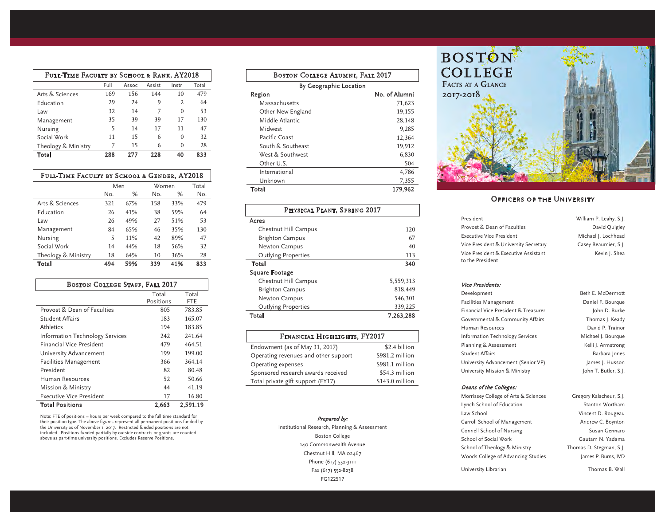| Full-Time Faculty by School & Rank, AY2018 |      |       |        |          |       |
|--------------------------------------------|------|-------|--------|----------|-------|
|                                            | Full | Assoc | Assist | Instr    | Total |
| Arts & Sciences                            | 169  | 156   | 144    | 10       | 479   |
| <b>Education</b>                           | 29   | 24    | 9      | 2        | 64    |
| Law                                        | 32   | 14    | 7      | $\Omega$ | 53    |
| Management                                 | 35   | 39    | 39     | 17       | 130   |
| Nursing                                    | 5    | 14    | 17     | 11       | 47    |
| Social Work                                | 11   | 15    | 6      | $\Omega$ | 32    |
| Theology & Ministry                        | 7    | 15    | 6      | 0        | 28    |
| Total                                      | 288  | 277   | 228    | 40       | 833   |

| FULL-TIME FACULTY BY SCHOOL & GENDER, AY2018 |     |     |       |     |       |
|----------------------------------------------|-----|-----|-------|-----|-------|
|                                              | Men |     | Women |     | Total |
|                                              | No. | %   | No.   | %   | No.   |
| Arts & Sciences                              | 321 | 67% | 158   | 33% | 479   |
| <b>Education</b>                             | 26  | 41% | 38    | 59% | 64    |
| Law                                          | 26  | 49% | 27    | 51% | 53    |
| Management                                   | 84  | 65% | 46    | 35% | 130   |
| Nursing                                      | 5   | 11% | 42    | 89% | 47    |
| Social Work                                  | 14  | 44% | 18    | 56% | 32    |
| Theology & Ministry                          | 18  | 64% | 10    | 36% | 28    |
| Total                                        | 494 | 59% | 339   | 41% | 833   |

| <b>BOSTON COLLEGE STAFF, FALL 2017</b>      |           |        |  |  |  |
|---------------------------------------------|-----------|--------|--|--|--|
|                                             | Total     | Total  |  |  |  |
|                                             | Positions | FTE    |  |  |  |
| Provost & Dean of Faculties                 | 805       | 783.85 |  |  |  |
| <b>Student Affairs</b>                      | 183       | 165.07 |  |  |  |
| Athletics                                   | 194       | 183.85 |  |  |  |
| Information Technology Services             | 242       | 241.64 |  |  |  |
| <b>Financial Vice President</b>             | 479       | 464.51 |  |  |  |
| University Advancement                      | 199       | 199.00 |  |  |  |
| <b>Facilities Management</b>                | 366       | 364.14 |  |  |  |
| President                                   | 82        | 80.48  |  |  |  |
| Human Resources                             | 52        | 50.66  |  |  |  |
| Mission & Ministry                          | 44        | 41.19  |  |  |  |
| Executive Vice President                    | 17        | 16.80  |  |  |  |
| <b>Total Positions</b><br>2,663<br>2,591.19 |           |        |  |  |  |

Note: FTE of positions = hours per week compared to the full time standard for their position type. The above figures represent all permanent positions funded by<br>the University as of November 1, 2017. Restricted funded positions are not<br>included. Positions funded partially by outside contracts or gr above as part-time university positions. Excludes Reserve Positions.

| <b>BOSTON COLLEGE ALUMNI, FALL 2017</b> |               |  |  |  |
|-----------------------------------------|---------------|--|--|--|
| By Geographic Location                  |               |  |  |  |
| Region                                  | No. of Alumni |  |  |  |
| Massachusetts                           | 71,623        |  |  |  |
| Other New England                       | 19,155        |  |  |  |
| Middle Atlantic                         | 28.148        |  |  |  |
| Midwest                                 | 9.285         |  |  |  |
| Pacific Coast                           | 12,364        |  |  |  |
| South & Southeast                       | 19,912        |  |  |  |
| West & Southwest                        | 6,830         |  |  |  |
| Other U.S.                              | 504           |  |  |  |
| International                           | 4,786         |  |  |  |
| Unknown                                 | 7,355         |  |  |  |
| Total<br>179,962                        |               |  |  |  |

| PHYSICAL PLANT, SPRING 2017 |           |  |  |  |
|-----------------------------|-----------|--|--|--|
| Acres                       |           |  |  |  |
| Chestnut Hill Campus        | 120       |  |  |  |
| <b>Brighton Campus</b>      | 67        |  |  |  |
| <b>Newton Campus</b>        | 40        |  |  |  |
| <b>Outlying Properties</b>  | 113       |  |  |  |
| Total                       | 340       |  |  |  |
| <b>Square Footage</b>       |           |  |  |  |
| Chestnut Hill Campus        | 5,559,313 |  |  |  |
| <b>Brighton Campus</b>      | 818,449   |  |  |  |
| <b>Newton Campus</b>        | 546,301   |  |  |  |
| <b>Outlying Properties</b>  | 339,225   |  |  |  |
| Total                       | 7.263.288 |  |  |  |

| <b>FINANCIAL HIGHLIGHTS, FY2017</b>  |                  |  |  |  |
|--------------------------------------|------------------|--|--|--|
| Endowment (as of May 31, 2017)       | \$2.4 billion    |  |  |  |
| Operating revenues and other support | \$981.2 million  |  |  |  |
| Operating expenses                   | \$981.1 million  |  |  |  |
| Sponsored research awards received   | \$54.3 million   |  |  |  |
| Total private gift support (FY17)    | $$143.0$ million |  |  |  |

## Prepared by:

Institutional Research, Planning & Assessment Boston College 140 Commonwealth Avenue Chestnut Hill, MA 02467 Phone (617) 552-3111 Fax (617) 552-8238 FG122517



# **OFFICERS OF THE UNIVERSITY**

| President                             | William P. Leahy, S.J. |
|---------------------------------------|------------------------|
| Provost & Dean of Faculties           | David Quigley          |
| <b>Executive Vice President</b>       | Michael J. Lochhead    |
| Vice President & University Secretary | Casey Beaumier, S.J.   |
| Vice President & Executive Assistant  | Kevin J. Shea          |
| to the President                      |                        |

### Vice Presidents:

| Development                            | Beth E. McDermott    |
|----------------------------------------|----------------------|
| <b>Facilities Management</b>           | Daniel F. Bourgue    |
| Financial Vice President & Treasurer   | John D. Burke        |
| Governmental & Community Affairs       | Thomas J. Keady      |
| Human Resources                        | David P. Trainor     |
| <b>Information Technology Services</b> | Michael J. Bourque   |
| Planning & Assessment                  | Kelli J. Armstrong   |
| Student Affairs                        | Barbara Jones        |
| University Advancement (Senior VP)     | James J. Husson      |
| University Mission & Ministry          | John T. Butler, S.J. |

### Deans of the Colleges:

Morrissey College of Arts & Sciences Gregory Kalscheur, S.J. Lynch School of Education Stanton Wortham Law School **Vincent D. Rougeau** Carroll School of Management Andrew C. Boynton Connell School of Nursing Susan Gennaro School of Social Work Gautam N. Yadama School of Theology & Ministry Thomas D. Stegman, S.J. Woods College of Advancing Studies James P. Burns, IVD University Librarian Thomas B. Wall